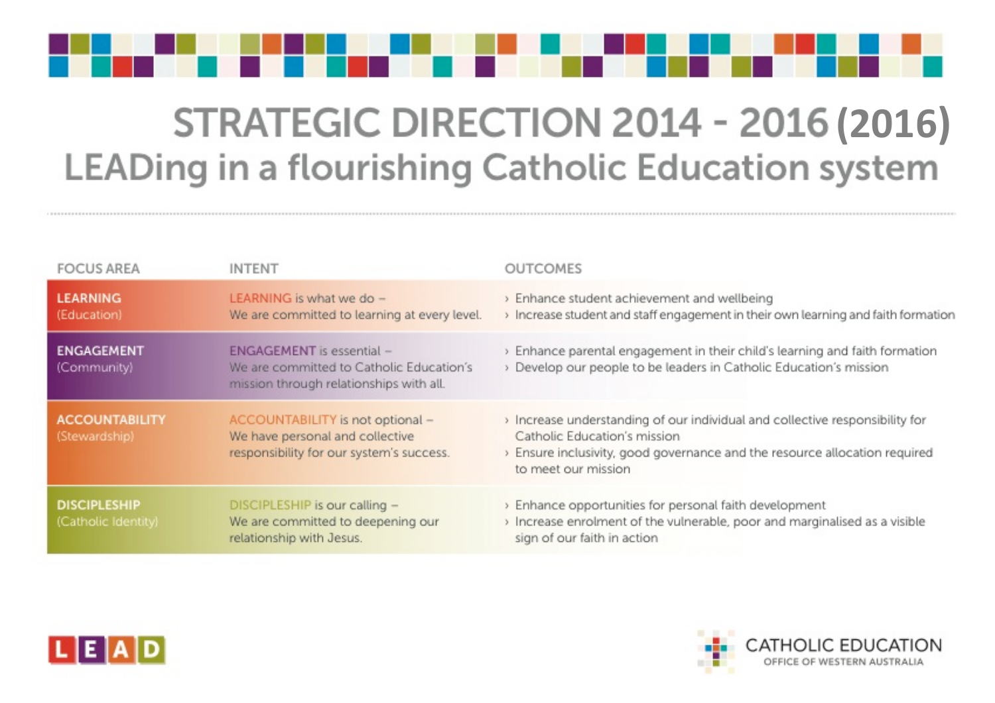

# **STRATEGIC DIRECTION 2014 - 2016 (2016)** LEADing in a flourishing Catholic Education system

| <b>FOCUS AREA</b>                          | <b>INTENT</b>                                                                                                    | <b>OUTCOMES</b>                                                                                                                                     |
|--------------------------------------------|------------------------------------------------------------------------------------------------------------------|-----------------------------------------------------------------------------------------------------------------------------------------------------|
| <b>LEARNING</b><br>(Education)             | LEARNING is what we do -<br>We are committed to learning at every level.                                         | > Enhance student achievement and wellbei<br>> Increase student and staff engagement in th                                                          |
| <b>ENGAGEMENT</b><br>(Community)           | ENGAGEMENT is essential -<br>We are committed to Catholic Education's<br>mission through relationships with all. | > Enhance parental engagement in their chi<br>> Develop our people to be leaders in Catho                                                           |
| <b>ACCOUNTABILITY</b><br>(Stewardship)     | ACCOUNTABILITY is not optional -<br>We have personal and collective<br>responsibility for our system's success.  | > Increase understanding of our individual a<br>Catholic Education's mission<br>> Ensure inclusivity, good governance and th<br>to meet our mission |
| <b>DISCIPLESHIP</b><br>(Catholic Identity) | DISCIPLESHIP is our calling -<br>We are committed to deepening our<br>relationship with Jesus.                   | > Enhance opportunities for personal faith d<br>> Increase enrolment of the vulnerable, poo<br>sign of our faith in action                          |





ing eir own learning and faith formation

ld's learning and faith formation olic Education's mission

nd collective responsibility for

he resource allocation required

levelopment r and marginalised as a visible

#### ATHOLIC EDUCATION

OFFICE OF WESTERN AUSTRALIA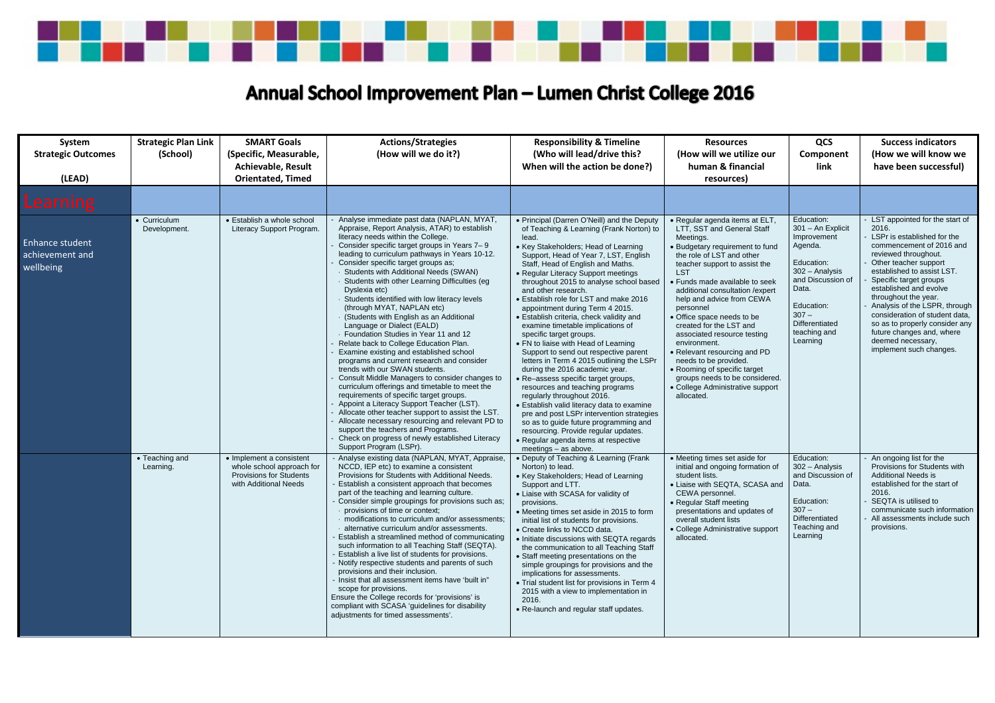

| System<br><b>Strategic Outcomes</b><br>(LEAD)          | <b>Strategic Plan Link</b><br>(School) | <b>SMART Goals</b><br>(Specific, Measurable,<br><b>Achievable, Result</b><br><b>Orientated, Timed</b>            | <b>Actions/Strategies</b><br>(How will we do it?)                                                                                                                                                                                                                                                                                                                                                                                                                                                                                                                                                                                                                                                                                                                                                                                                                                                                                                                                                                                                                                                                                                                                           | <b>Responsibility &amp; Timeline</b><br>(Who will lead/drive this?<br>When will the action be done?)                                                                                                                                                                                                                                                                                                                                                                                                                                                                                                                                                                                                                                                                                                                                                                                                                                                                                                                                         | <b>Resources</b><br>(How will we utilize our<br>human & financial<br>resources)                                                                                                                                                                                                                                                                                                                                                                                                                                                                                                              | QCS<br>Component<br>link                                                                                                                                                                       | <b>Success indicators</b><br>(How we will know we<br>have been successful)                                                                                                                                                                                                                                                                                                                                                                      |
|--------------------------------------------------------|----------------------------------------|------------------------------------------------------------------------------------------------------------------|---------------------------------------------------------------------------------------------------------------------------------------------------------------------------------------------------------------------------------------------------------------------------------------------------------------------------------------------------------------------------------------------------------------------------------------------------------------------------------------------------------------------------------------------------------------------------------------------------------------------------------------------------------------------------------------------------------------------------------------------------------------------------------------------------------------------------------------------------------------------------------------------------------------------------------------------------------------------------------------------------------------------------------------------------------------------------------------------------------------------------------------------------------------------------------------------|----------------------------------------------------------------------------------------------------------------------------------------------------------------------------------------------------------------------------------------------------------------------------------------------------------------------------------------------------------------------------------------------------------------------------------------------------------------------------------------------------------------------------------------------------------------------------------------------------------------------------------------------------------------------------------------------------------------------------------------------------------------------------------------------------------------------------------------------------------------------------------------------------------------------------------------------------------------------------------------------------------------------------------------------|----------------------------------------------------------------------------------------------------------------------------------------------------------------------------------------------------------------------------------------------------------------------------------------------------------------------------------------------------------------------------------------------------------------------------------------------------------------------------------------------------------------------------------------------------------------------------------------------|------------------------------------------------------------------------------------------------------------------------------------------------------------------------------------------------|-------------------------------------------------------------------------------------------------------------------------------------------------------------------------------------------------------------------------------------------------------------------------------------------------------------------------------------------------------------------------------------------------------------------------------------------------|
| <b>Learning</b>                                        |                                        |                                                                                                                  |                                                                                                                                                                                                                                                                                                                                                                                                                                                                                                                                                                                                                                                                                                                                                                                                                                                                                                                                                                                                                                                                                                                                                                                             |                                                                                                                                                                                                                                                                                                                                                                                                                                                                                                                                                                                                                                                                                                                                                                                                                                                                                                                                                                                                                                              |                                                                                                                                                                                                                                                                                                                                                                                                                                                                                                                                                                                              |                                                                                                                                                                                                |                                                                                                                                                                                                                                                                                                                                                                                                                                                 |
| <b>Enhance student</b><br>achievement and<br>wellbeing | • Curriculum<br>Development.           | • Establish a whole school<br>Literacy Support Program.                                                          | Analyse immediate past data (NAPLAN, MYAT,<br>Appraise, Report Analysis, ATAR) to establish<br>literacy needs within the College.<br>Consider specific target groups in Years 7-9<br>leading to curriculum pathways in Years 10-12.<br>Consider specific target groups as;<br><b>Students with Additional Needs (SWAN)</b><br>Students with other Learning Difficulties (eg<br>Dyslexia etc)<br>Students identified with low literacy levels<br>(through MYAT, NAPLAN etc)<br>(Students with English as an Additional<br>Language or Dialect (EALD)<br>· Foundation Studies in Year 11 and 12<br>Relate back to College Education Plan.<br>Examine existing and established school<br>programs and current research and consider<br>trends with our SWAN students.<br>Consult Middle Managers to consider changes to<br>curriculum offerings and timetable to meet the<br>requirements of specific target groups.<br>Appoint a Literacy Support Teacher (LST).<br>Allocate other teacher support to assist the LST.<br>Allocate necessary resourcing and relevant PD to<br>support the teachers and Programs.<br>Check on progress of newly established Literacy<br>Support Program (LSPr). | • Principal (Darren O'Neill) and the Deputy<br>of Teaching & Learning (Frank Norton) to<br>lead.<br>• Key Stakeholders; Head of Learning<br>Support, Head of Year 7, LST, English<br>Staff, Head of English and Maths.<br>• Regular Literacy Support meetings<br>throughout 2015 to analyse school based<br>and other research.<br>• Establish role for LST and make 2016<br>appointment during Term 4 2015.<br>• Establish criteria, check validity and<br>examine timetable implications of<br>specific target groups.<br>• FN to liaise with Head of Learning<br>Support to send out respective parent<br>letters in Term 4 2015 outlining the LSPr<br>during the 2016 academic year.<br>• Re-assess specific target groups,<br>resources and teaching programs<br>regularly throughout 2016.<br>• Establish valid literacy data to examine<br>pre and post LSPr intervention strategies<br>so as to guide future programming and<br>resourcing. Provide regular updates.<br>• Regular agenda items at respective<br>meetings - as above. | · Regular agenda items at ELT<br>LTT, SST and General Staff<br>Meetings.<br>• Budgetary requirement to fund<br>the role of LST and other<br>teacher support to assist the<br><b>LST</b><br>• Funds made available to seek<br>additional consultation / expert<br>help and advice from CEWA<br>personnel<br>• Office space needs to be<br>created for the LST and<br>associated resource testing<br>environment.<br>• Relevant resourcing and PD<br>needs to be provided.<br>• Rooming of specific target<br>groups needs to be considered.<br>• College Administrative support<br>allocated. | Education:<br>301 - An Explicit<br>Improvement<br>Agenda.<br>Education:<br>302 - Analysis<br>and Discussion of<br>Data.<br>Education:<br>$307 -$<br>Differentiated<br>teaching and<br>Learning | LST appointed for the start of<br>2016.<br>LSPr is established for the<br>commencement of 2016 and<br>reviewed throughout.<br>Other teacher support<br>established to assist LST.<br>Specific target groups<br>established and evolve<br>throughout the year.<br>Analysis of the LSPR, through<br>consideration of student data,<br>so as to properly consider any<br>future changes and, where<br>deemed necessary,<br>implement such changes. |
|                                                        | • Teaching and<br>Learning.            | • Implement a consistent<br>whole school approach for<br><b>Provisions for Students</b><br>with Additional Needs | - Analyse existing data (NAPLAN, MYAT, Appraise,<br>NCCD, IEP etc) to examine a consistent<br>Provisions for Students with Additional Needs.<br>Establish a consistent approach that becomes<br>part of the teaching and learning culture.<br>- Consider simple groupings for provisions such as;<br>provisions of time or context;<br>modifications to curriculum and/or assessments;<br>· alternative curriculum and/or assessments.<br>Establish a streamlined method of communicating<br>such information to all Teaching Staff (SEQTA).<br>Establish a live list of students for provisions.<br>- Notify respective students and parents of such<br>provisions and their inclusion.<br>Insist that all assessment items have 'built in"<br>scope for provisions.<br>Ensure the College records for 'provisions' is<br>compliant with SCASA 'guidelines for disability<br>adjustments for timed assessments'.                                                                                                                                                                                                                                                                           | • Deputy of Teaching & Learning (Frank<br>Norton) to lead.<br>• Key Stakeholders; Head of Learning<br>Support and LTT.<br>• Liaise with SCASA for validity of<br>provisions.<br>• Meeting times set aside in 2015 to form<br>initial list of students for provisions.<br>• Create links to NCCD data.<br>• Initiate discussions with SEQTA regards<br>the communication to all Teaching Staff<br>• Staff meeting presentations on the<br>simple groupings for provisions and the<br>implications for assessments.<br>• Trial student list for provisions in Term 4<br>2015 with a view to implementation in<br>2016.<br>• Re-launch and regular staff updates.                                                                                                                                                                                                                                                                                                                                                                               | • Meeting times set aside for<br>initial and ongoing formation of<br>student lists.<br>• Liaise with SEQTA, SCASA and<br>CEWA personnel.<br>• Regular Staff meeting<br>presentations and updates of<br>overall student lists<br>• College Administrative support<br>allocated.                                                                                                                                                                                                                                                                                                               | Education:<br>302 - Analysis<br>and Discussion of<br>Data.<br>Education:<br>$307 -$<br>Differentiated<br>Teaching and<br>Learning                                                              | An ongoing list for the<br>Provisions for Students with<br><b>Additional Needs is</b><br>established for the start of<br>2016.<br>SEQTA is utilised to<br>communicate such information<br>All assessments include such<br>provisions.                                                                                                                                                                                                           |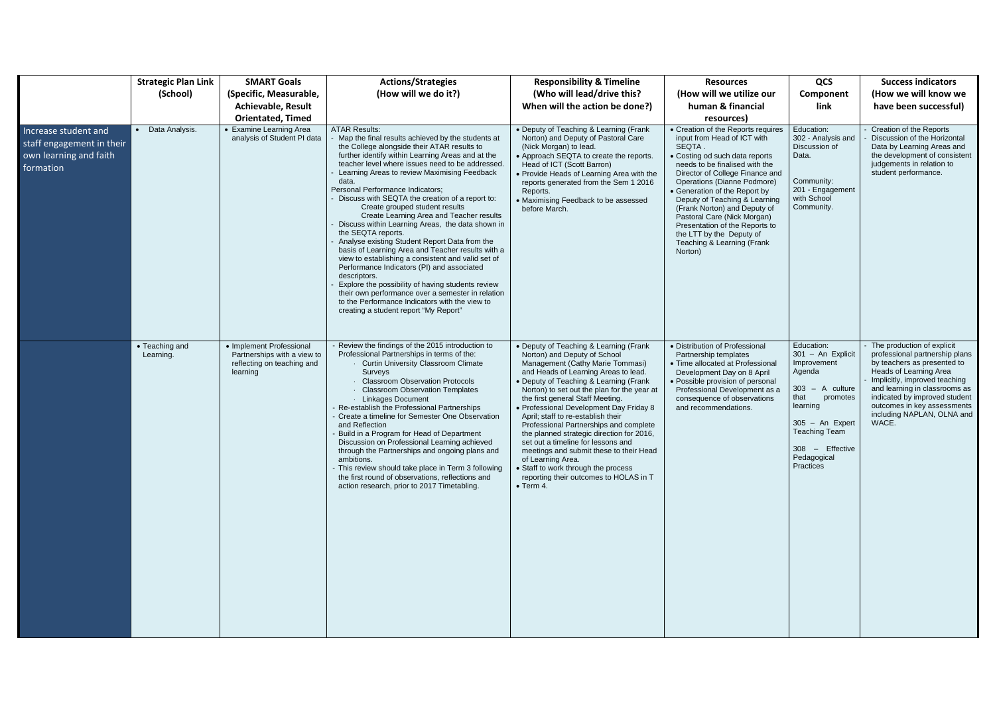|                                                                                          | <b>Strategic Plan Link</b>  | <b>SMART Goals</b>                                                                                | <b>Actions/Strategies</b>                                                                                                                                                                                                                                                                                                                                                                                                                                                                                                                                                                                                                                                                                                                                                                                                                                                                                                                                                | <b>Responsibility &amp; Timeline</b>                                                                                                                                                                                                                                                                                                                                                                                                                                                                                                                                                                                                                                | <b>Resources</b>                                                                                                                                                                                                                                                                                                                                                                                                                                          | QCS                                                                                                                                                                                                | <b>Success indicators</b>                                                                                                                                                                                                                                                                        |
|------------------------------------------------------------------------------------------|-----------------------------|---------------------------------------------------------------------------------------------------|--------------------------------------------------------------------------------------------------------------------------------------------------------------------------------------------------------------------------------------------------------------------------------------------------------------------------------------------------------------------------------------------------------------------------------------------------------------------------------------------------------------------------------------------------------------------------------------------------------------------------------------------------------------------------------------------------------------------------------------------------------------------------------------------------------------------------------------------------------------------------------------------------------------------------------------------------------------------------|---------------------------------------------------------------------------------------------------------------------------------------------------------------------------------------------------------------------------------------------------------------------------------------------------------------------------------------------------------------------------------------------------------------------------------------------------------------------------------------------------------------------------------------------------------------------------------------------------------------------------------------------------------------------|-----------------------------------------------------------------------------------------------------------------------------------------------------------------------------------------------------------------------------------------------------------------------------------------------------------------------------------------------------------------------------------------------------------------------------------------------------------|----------------------------------------------------------------------------------------------------------------------------------------------------------------------------------------------------|--------------------------------------------------------------------------------------------------------------------------------------------------------------------------------------------------------------------------------------------------------------------------------------------------|
|                                                                                          | (School)                    | (Specific, Measurable,                                                                            | (How will we do it?)                                                                                                                                                                                                                                                                                                                                                                                                                                                                                                                                                                                                                                                                                                                                                                                                                                                                                                                                                     | (Who will lead/drive this?                                                                                                                                                                                                                                                                                                                                                                                                                                                                                                                                                                                                                                          | (How will we utilize our                                                                                                                                                                                                                                                                                                                                                                                                                                  | Component                                                                                                                                                                                          | (How we will know we                                                                                                                                                                                                                                                                             |
|                                                                                          |                             | <b>Achievable, Result</b>                                                                         |                                                                                                                                                                                                                                                                                                                                                                                                                                                                                                                                                                                                                                                                                                                                                                                                                                                                                                                                                                          | When will the action be done?)                                                                                                                                                                                                                                                                                                                                                                                                                                                                                                                                                                                                                                      | human & financial                                                                                                                                                                                                                                                                                                                                                                                                                                         | link                                                                                                                                                                                               | have been successful)                                                                                                                                                                                                                                                                            |
|                                                                                          |                             | <b>Orientated, Timed</b>                                                                          |                                                                                                                                                                                                                                                                                                                                                                                                                                                                                                                                                                                                                                                                                                                                                                                                                                                                                                                                                                          |                                                                                                                                                                                                                                                                                                                                                                                                                                                                                                                                                                                                                                                                     | resources)                                                                                                                                                                                                                                                                                                                                                                                                                                                |                                                                                                                                                                                                    |                                                                                                                                                                                                                                                                                                  |
| Increase student and<br>staff engagement in their<br>own learning and faith<br>formation | Data Analysis.              | • Examine Learning Area<br>analysis of Student PI data                                            | <b>ATAR Results:</b><br>Map the final results achieved by the students at<br>the College alongside their ATAR results to<br>further identify within Learning Areas and at the<br>teacher level where issues need to be addressed.<br>Learning Areas to review Maximising Feedback<br>data.<br>Personal Performance Indicators;<br>Discuss with SEQTA the creation of a report to:<br>Create grouped student results<br>Create Learning Area and Teacher results<br>Discuss within Learning Areas, the data shown in<br>the SEQTA reports.<br>Analyse existing Student Report Data from the<br>basis of Learning Area and Teacher results with a<br>view to establishing a consistent and valid set of<br>Performance Indicators (PI) and associated<br>descriptors.<br>Explore the possibility of having students review<br>their own performance over a semester in relation<br>to the Performance Indicators with the view to<br>creating a student report "My Report" | • Deputy of Teaching & Learning (Frank<br>Norton) and Deputy of Pastoral Care<br>(Nick Morgan) to lead.<br>• Approach SEQTA to create the reports.<br>Head of ICT (Scott Barron)<br>• Provide Heads of Learning Area with the<br>reports generated from the Sem 1 2016<br>Reports.<br>• Maximising Feedback to be assessed<br>before March.                                                                                                                                                                                                                                                                                                                         | • Creation of the Reports requires<br>input from Head of ICT with<br>SEQTA.<br>• Costing od such data reports<br>needs to be finalised with the<br>Director of College Finance and<br>Operations (Dianne Podmore)<br>• Generation of the Report by<br>Deputy of Teaching & Learning<br>(Frank Norton) and Deputy of<br>Pastoral Care (Nick Morgan)<br>Presentation of the Reports to<br>the LTT by the Deputy of<br>Teaching & Learning (Frank<br>Norton) | Education:<br>302 - Analysis and<br>Discussion of<br>Data.<br>Community:<br>201 - Engagement<br>with School<br>Community.                                                                          | Creation of the Reports<br>Discussion of the Horizontal<br>Data by Learning Areas and<br>the development of consistent<br>judgements in relation to<br>student performance.                                                                                                                      |
|                                                                                          | • Teaching and<br>Learning. | • Implement Professional<br>Partnerships with a view to<br>reflecting on teaching and<br>learning | - Review the findings of the 2015 introduction to<br>Professional Partnerships in terms of the:<br><b>Curtin University Classroom Climate</b><br>Surveys<br><b>Classroom Observation Protocols</b><br><b>Classroom Observation Templates</b><br><b>Linkages Document</b><br>- Re-establish the Professional Partnerships<br>Create a timeline for Semester One Observation<br>and Reflection<br>Build in a Program for Head of Department<br>Discussion on Professional Learning achieved<br>through the Partnerships and ongoing plans and<br>ambitions.<br>- This review should take place in Term 3 following<br>the first round of observations, reflections and<br>action research, prior to 2017 Timetabling.                                                                                                                                                                                                                                                      | • Deputy of Teaching & Learning (Frank<br>Norton) and Deputy of School<br>Management (Cathy Marie Tommasi)<br>and Heads of Learning Areas to lead.<br>• Deputy of Teaching & Learning (Frank<br>Norton) to set out the plan for the year at<br>the first general Staff Meeting.<br>• Professional Development Day Friday 8<br>April; staff to re-establish their<br>Professional Partnerships and complete<br>the planned strategic direction for 2016,<br>set out a timeline for lessons and<br>meetings and submit these to their Head<br>of Learning Area.<br>• Staff to work through the process<br>reporting their outcomes to HOLAS in T<br>$\bullet$ Term 4. | • Distribution of Professional<br>Partnership templates<br>• Time allocated at Professional<br>Development Day on 8 April<br>• Possible provision of personal<br>Professional Development as a<br>consequence of observations<br>and recommendations.                                                                                                                                                                                                     | Education:<br>301 - An Explicit<br>Improvement<br>Agenda<br>$303 - A$ culture<br>that<br>promotes<br>learning<br>$305 - An$ Expert<br>Teaching Team<br>308 - Effective<br>Pedagogical<br>Practices | - The production of explicit<br>professional partnership plans<br>by teachers as presented to<br>Heads of Learning Area<br>Implicitly, improved teaching<br>and learning in classrooms as<br>indicated by improved student<br>outcomes in key assessments<br>including NAPLAN, OLNA and<br>WACE. |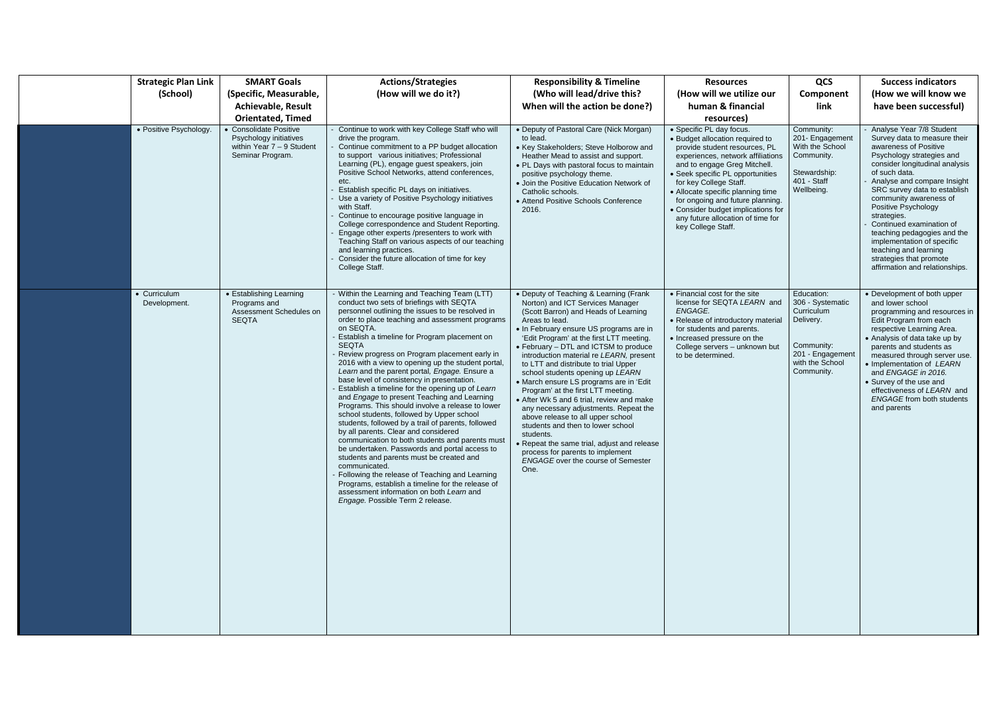| <b>Strategic Plan Link</b>   | <b>SMART Goals</b>                                                                                  | <b>Actions/Strategies</b>                                                                                                                                                                                                                                                                                                                                                                                                                                                                                                                                                                                                                                                                                                                                                                                                                                                                                                                                                                                                                                                                                                                    | <b>Responsibility &amp; Timeline</b>                                                                                                                                                                                                                                                                                                                                                                                                                                                                                                                                                                                                                                                                                                                                                              | <b>Resources</b>                                                                                                                                                                                                                                                                                                                                                                                          | QCS                                                                                                                          | <b>Success indicators</b>                                                                                                                                                                                                                                                                                                                                                                                                                                                         |
|------------------------------|-----------------------------------------------------------------------------------------------------|----------------------------------------------------------------------------------------------------------------------------------------------------------------------------------------------------------------------------------------------------------------------------------------------------------------------------------------------------------------------------------------------------------------------------------------------------------------------------------------------------------------------------------------------------------------------------------------------------------------------------------------------------------------------------------------------------------------------------------------------------------------------------------------------------------------------------------------------------------------------------------------------------------------------------------------------------------------------------------------------------------------------------------------------------------------------------------------------------------------------------------------------|---------------------------------------------------------------------------------------------------------------------------------------------------------------------------------------------------------------------------------------------------------------------------------------------------------------------------------------------------------------------------------------------------------------------------------------------------------------------------------------------------------------------------------------------------------------------------------------------------------------------------------------------------------------------------------------------------------------------------------------------------------------------------------------------------|-----------------------------------------------------------------------------------------------------------------------------------------------------------------------------------------------------------------------------------------------------------------------------------------------------------------------------------------------------------------------------------------------------------|------------------------------------------------------------------------------------------------------------------------------|-----------------------------------------------------------------------------------------------------------------------------------------------------------------------------------------------------------------------------------------------------------------------------------------------------------------------------------------------------------------------------------------------------------------------------------------------------------------------------------|
| (School)                     | (Specific, Measurable,                                                                              | (How will we do it?)                                                                                                                                                                                                                                                                                                                                                                                                                                                                                                                                                                                                                                                                                                                                                                                                                                                                                                                                                                                                                                                                                                                         | (Who will lead/drive this?                                                                                                                                                                                                                                                                                                                                                                                                                                                                                                                                                                                                                                                                                                                                                                        | (How will we utilize our                                                                                                                                                                                                                                                                                                                                                                                  | Component                                                                                                                    | (How we will know we                                                                                                                                                                                                                                                                                                                                                                                                                                                              |
|                              | <b>Achievable, Result</b>                                                                           |                                                                                                                                                                                                                                                                                                                                                                                                                                                                                                                                                                                                                                                                                                                                                                                                                                                                                                                                                                                                                                                                                                                                              | When will the action be done?)                                                                                                                                                                                                                                                                                                                                                                                                                                                                                                                                                                                                                                                                                                                                                                    | human & financial                                                                                                                                                                                                                                                                                                                                                                                         | link                                                                                                                         | have been successful)                                                                                                                                                                                                                                                                                                                                                                                                                                                             |
|                              | <b>Orientated, Timed</b>                                                                            |                                                                                                                                                                                                                                                                                                                                                                                                                                                                                                                                                                                                                                                                                                                                                                                                                                                                                                                                                                                                                                                                                                                                              |                                                                                                                                                                                                                                                                                                                                                                                                                                                                                                                                                                                                                                                                                                                                                                                                   | resources)                                                                                                                                                                                                                                                                                                                                                                                                |                                                                                                                              |                                                                                                                                                                                                                                                                                                                                                                                                                                                                                   |
| • Positive Psychology.       | • Consolidate Positive<br>Psychology initiatives<br>within Year $7 - 9$ Student<br>Seminar Program. | Continue to work with key College Staff who will<br>drive the program.<br>Continue commitment to a PP budget allocation<br>to support various initiatives; Professional<br>Learning (PL), engage guest speakers, join<br>Positive School Networks, attend conferences,<br>etc.<br>Establish specific PL days on initiatives.<br>Use a variety of Positive Psychology initiatives<br>with Staff.<br>Continue to encourage positive language in<br>College correspondence and Student Reporting.<br>Engage other experts /presenters to work with<br>Teaching Staff on various aspects of our teaching<br>and learning practices.<br>Consider the future allocation of time for key<br>College Staff.                                                                                                                                                                                                                                                                                                                                                                                                                                          | • Deputy of Pastoral Care (Nick Morgan)<br>to lead.<br>• Key Stakeholders; Steve Holborow and<br>Heather Mead to assist and support.<br>• PL Days with pastoral focus to maintain<br>positive psychology theme.<br>• Join the Positive Education Network of<br>Catholic schools.<br>• Attend Positive Schools Conference<br>2016.                                                                                                                                                                                                                                                                                                                                                                                                                                                                 | • Specific PL day focus.<br>• Budget allocation required to<br>provide student resources, PL<br>experiences, network affiliations<br>and to engage Greg Mitchell.<br>• Seek specific PL opportunities<br>for key College Staff.<br>• Allocate specific planning time<br>for ongoing and future planning.<br>• Consider budget implications for<br>any future allocation of time for<br>key College Staff. | Community:<br>201- Engagement<br>With the School<br>Community.<br>Stewardship:<br>401 - Staff<br>Wellbeing.                  | - Analyse Year 7/8 Student<br>Survey data to measure their<br>awareness of Positive<br>Psychology strategies and<br>consider longitudinal analysis<br>of such data.<br>Analyse and compare Insight<br>SRC survey data to establish<br>community awareness of<br>Positive Psychology<br>strategies.<br>Continued examination of<br>teaching pedagogies and the<br>implementation of specific<br>teaching and learning<br>strategies that promote<br>affirmation and relationships. |
| • Curriculum<br>Development. | • Establishing Learning<br>Programs and<br>Assessment Schedules on<br><b>SEQTA</b>                  | Within the Learning and Teaching Team (LTT)<br>conduct two sets of briefings with SEQTA<br>personnel outlining the issues to be resolved in<br>order to place teaching and assessment programs<br>on SEQTA.<br>Establish a timeline for Program placement on<br><b>SEQTA</b><br>Review progress on Program placement early in<br>2016 with a view to opening up the student portal,<br>Learn and the parent portal, Engage. Ensure a<br>base level of consistency in presentation.<br>Establish a timeline for the opening up of Learn<br>and Engage to present Teaching and Learning<br>Programs. This should involve a release to lower<br>school students, followed by Upper school<br>students, followed by a trail of parents, followed<br>by all parents. Clear and considered<br>communication to both students and parents must<br>be undertaken. Passwords and portal access to<br>students and parents must be created and<br>communicated.<br>Following the release of Teaching and Learning<br>Programs, establish a timeline for the release of<br>assessment information on both Learn and<br>Engage. Possible Term 2 release. | • Deputy of Teaching & Learning (Frank<br>Norton) and ICT Services Manager<br>(Scott Barron) and Heads of Learning<br>Areas to lead.<br>• In February ensure US programs are in<br>'Edit Program' at the first LTT meeting.<br>• February - DTL and ICTSM to produce<br>introduction material re LEARN, present<br>to LTT and distribute to trial Upper<br>school students opening up LEARN<br>• March ensure LS programs are in 'Edit<br>Program' at the first LTT meeting.<br>• After Wk 5 and 6 trial, review and make<br>any necessary adjustments. Repeat the<br>above release to all upper school<br>students and then to lower school<br>students.<br>• Repeat the same trial, adjust and release<br>process for parents to implement<br><b>ENGAGE</b> over the course of Semester<br>One. | • Financial cost for the site<br>license for SEQTA LEARN and<br>ENGAGE.<br>• Release of introductory material<br>for students and parents.<br>• Increased pressure on the<br>College servers - unknown but<br>to be determined.                                                                                                                                                                           | Education:<br>306 - Systematic<br>Curriculum<br>Delivery.<br>Community:<br>201 - Engagement<br>with the School<br>Community. | • Development of both upper<br>and lower school<br>programming and resources in<br>Edit Program from each<br>respective Learning Area.<br>• Analysis of data take up by<br>parents and students as<br>measured through server use.<br>• Implementation of LEARN<br>and ENGAGE in 2016.<br>• Survey of the use and<br>effectiveness of LEARN and<br><b>ENGAGE</b> from both students<br>and parents                                                                                |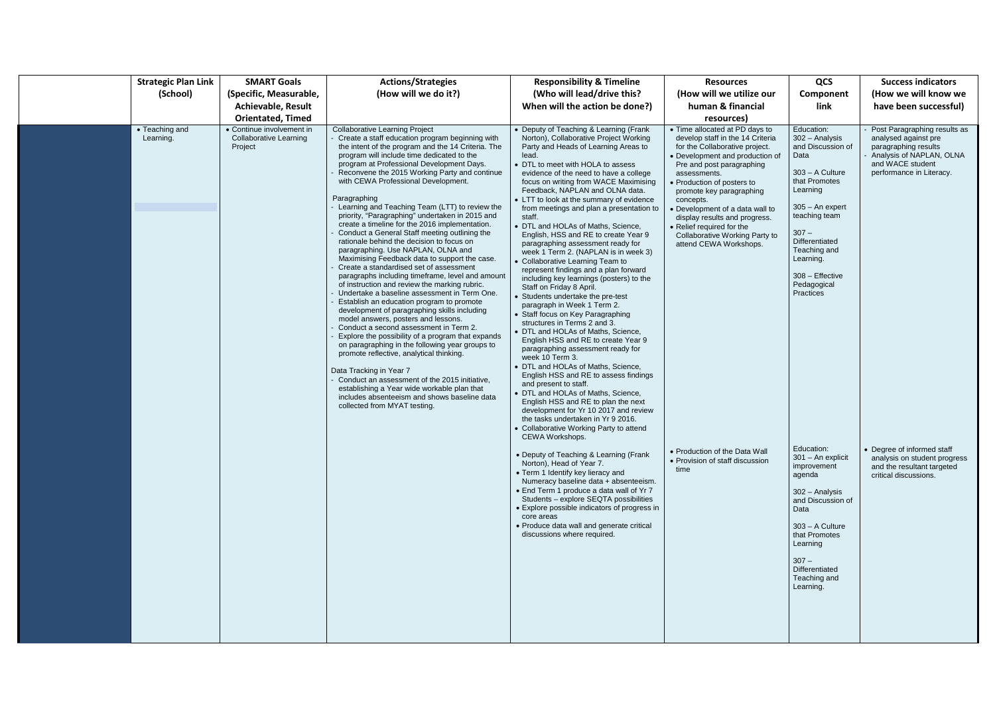| <b>Strategic Plan Link</b>  | <b>SMART Goals</b>                                                    | <b>Actions/Strategies</b>                                                                                                                                                                                                                                                                                                                                                                                                                                                                                                                                                                                                                                                                                                                                                                                                                                                                                                                                                                                                                                                                                                                                                                                                                                                                                                                                                                                                                    | <b>Responsibility &amp; Timeline</b>                                                                                                                                                                                                                                                                                                                                                                                                                                                                                                                                                                                                                                                                                                                                                                                                                                                                                                                                                                                                                                                                                                                                                                                                                                                                                           | <b>Resources</b>                                                                                                                                                                                                                                                                                                                                                                                                         | QCS                                                                                                                                                                                                                                                      | <b>Success indicators</b>                                                                                                                                |
|-----------------------------|-----------------------------------------------------------------------|----------------------------------------------------------------------------------------------------------------------------------------------------------------------------------------------------------------------------------------------------------------------------------------------------------------------------------------------------------------------------------------------------------------------------------------------------------------------------------------------------------------------------------------------------------------------------------------------------------------------------------------------------------------------------------------------------------------------------------------------------------------------------------------------------------------------------------------------------------------------------------------------------------------------------------------------------------------------------------------------------------------------------------------------------------------------------------------------------------------------------------------------------------------------------------------------------------------------------------------------------------------------------------------------------------------------------------------------------------------------------------------------------------------------------------------------|--------------------------------------------------------------------------------------------------------------------------------------------------------------------------------------------------------------------------------------------------------------------------------------------------------------------------------------------------------------------------------------------------------------------------------------------------------------------------------------------------------------------------------------------------------------------------------------------------------------------------------------------------------------------------------------------------------------------------------------------------------------------------------------------------------------------------------------------------------------------------------------------------------------------------------------------------------------------------------------------------------------------------------------------------------------------------------------------------------------------------------------------------------------------------------------------------------------------------------------------------------------------------------------------------------------------------------|--------------------------------------------------------------------------------------------------------------------------------------------------------------------------------------------------------------------------------------------------------------------------------------------------------------------------------------------------------------------------------------------------------------------------|----------------------------------------------------------------------------------------------------------------------------------------------------------------------------------------------------------------------------------------------------------|----------------------------------------------------------------------------------------------------------------------------------------------------------|
| (School)                    | (Specific, Measurable,                                                | (How will we do it?)                                                                                                                                                                                                                                                                                                                                                                                                                                                                                                                                                                                                                                                                                                                                                                                                                                                                                                                                                                                                                                                                                                                                                                                                                                                                                                                                                                                                                         | (Who will lead/drive this?                                                                                                                                                                                                                                                                                                                                                                                                                                                                                                                                                                                                                                                                                                                                                                                                                                                                                                                                                                                                                                                                                                                                                                                                                                                                                                     | (How will we utilize our                                                                                                                                                                                                                                                                                                                                                                                                 | Component                                                                                                                                                                                                                                                | (How we will know we                                                                                                                                     |
|                             | <b>Achievable, Result</b>                                             |                                                                                                                                                                                                                                                                                                                                                                                                                                                                                                                                                                                                                                                                                                                                                                                                                                                                                                                                                                                                                                                                                                                                                                                                                                                                                                                                                                                                                                              | When will the action be done?)                                                                                                                                                                                                                                                                                                                                                                                                                                                                                                                                                                                                                                                                                                                                                                                                                                                                                                                                                                                                                                                                                                                                                                                                                                                                                                 | human & financial                                                                                                                                                                                                                                                                                                                                                                                                        | link                                                                                                                                                                                                                                                     | have been successful)                                                                                                                                    |
|                             | <b>Orientated, Timed</b>                                              |                                                                                                                                                                                                                                                                                                                                                                                                                                                                                                                                                                                                                                                                                                                                                                                                                                                                                                                                                                                                                                                                                                                                                                                                                                                                                                                                                                                                                                              |                                                                                                                                                                                                                                                                                                                                                                                                                                                                                                                                                                                                                                                                                                                                                                                                                                                                                                                                                                                                                                                                                                                                                                                                                                                                                                                                | resources)                                                                                                                                                                                                                                                                                                                                                                                                               |                                                                                                                                                                                                                                                          |                                                                                                                                                          |
| • Teaching and<br>Learning. | • Continue involvement in<br><b>Collaborative Learning</b><br>Project | <b>Collaborative Learning Project</b><br>Create a staff education program beginning with<br>the intent of the program and the 14 Criteria. The<br>program will include time dedicated to the<br>program at Professional Development Days.<br>Reconvene the 2015 Working Party and continue<br>with CEWA Professional Development.<br>Paragraphing<br>Learning and Teaching Team (LTT) to review the<br>priority, "Paragraphing" undertaken in 2015 and<br>create a timeline for the 2016 implementation.<br>Conduct a General Staff meeting outlining the<br>rationale behind the decision to focus on<br>paragraphing. Use NAPLAN, OLNA and<br>Maximising Feedback data to support the case.<br>Create a standardised set of assessment<br>paragraphs including timeframe, level and amount<br>of instruction and review the marking rubric.<br>Undertake a baseline assessment in Term One.<br>Establish an education program to promote<br>development of paragraphing skills including<br>model answers, posters and lessons.<br>Conduct a second assessment in Term 2.<br>Explore the possibility of a program that expands<br>on paragraphing in the following year groups to<br>promote reflective, analytical thinking.<br>Data Tracking in Year 7<br>- Conduct an assessment of the 2015 initiative,<br>establishing a Year wide workable plan that<br>includes absenteeism and shows baseline data<br>collected from MYAT testing. | • Deputy of Teaching & Learning (Frank<br>Norton), Collaborative Project Working<br>Party and Heads of Learning Areas to<br>lead.<br>• DTL to meet with HOLA to assess<br>evidence of the need to have a college<br>focus on writing from WACE Maximising<br>Feedback, NAPLAN and OLNA data.<br>• LTT to look at the summary of evidence<br>from meetings and plan a presentation to<br>staff.<br>• DTL and HOLAs of Maths, Science,<br>English, HSS and RE to create Year 9<br>paragraphing assessment ready for<br>week 1 Term 2. (NAPLAN is in week 3)<br>• Collaborative Learning Team to<br>represent findings and a plan forward<br>including key learnings (posters) to the<br>Staff on Friday 8 April.<br>• Students undertake the pre-test<br>paragraph in Week 1 Term 2.<br>• Staff focus on Key Paragraphing<br>structures in Terms 2 and 3.<br>• DTL and HOLAs of Maths, Science,<br>English HSS and RE to create Year 9<br>paragraphing assessment ready for<br>week 10 Term 3.<br>• DTL and HOLAs of Maths, Science,<br>English HSS and RE to assess findings<br>and present to staff.<br>• DTL and HOLAs of Maths, Science,<br>English HSS and RE to plan the next<br>development for Yr 10 2017 and review<br>the tasks undertaken in Yr 9 2016.<br>• Collaborative Working Party to attend<br>CEWA Workshops. | • Time allocated at PD days to<br>develop staff in the 14 Criteria<br>for the Collaborative project.<br>• Development and production of<br>Pre and post paragraphing<br>assessments.<br>• Production of posters to<br>promote key paragraphing<br>concepts.<br>• Development of a data wall to<br>display results and progress.<br>• Relief required for the<br>Collaborative Working Party to<br>attend CEWA Workshops. | Education:<br>302 - Analysis<br>and Discussion of<br>Data<br>303 - A Culture<br>that Promotes<br>Learning<br>$305 - An$ expert<br>teaching team<br>$307 -$<br>Differentiated<br>Teaching and<br>Learning.<br>308 - Effective<br>Pedagogical<br>Practices | Post Paragraphing results as<br>analysed against pre<br>paragraphing results<br>Analysis of NAPLAN, OLNA<br>and WACE student<br>performance in Literacy. |
|                             |                                                                       |                                                                                                                                                                                                                                                                                                                                                                                                                                                                                                                                                                                                                                                                                                                                                                                                                                                                                                                                                                                                                                                                                                                                                                                                                                                                                                                                                                                                                                              | • Deputy of Teaching & Learning (Frank<br>Norton), Head of Year 7.<br>• Term 1 Identify key lieracy and<br>Numeracy baseline data + absenteeism.<br>• End Term 1 produce a data wall of Yr 7<br>Students - explore SEQTA possibilities<br>• Explore possible indicators of progress in<br>core areas<br>• Produce data wall and generate critical<br>discussions where required.                                                                                                                                                                                                                                                                                                                                                                                                                                                                                                                                                                                                                                                                                                                                                                                                                                                                                                                                               | • Production of the Data Wall<br>• Provision of staff discussion<br>time                                                                                                                                                                                                                                                                                                                                                 | Education:<br>301 - An explicit<br>improvement<br>agenda<br>302 - Analysis<br>and Discussion of<br>Data<br>$303 - A$ Culture<br>that Promotes<br>Learning<br>$307 -$<br>Differentiated<br>Teaching and<br>Learning.                                      | • Degree of informed staff<br>analysis on student progress<br>and the resultant targeted<br>critical discussions.                                        |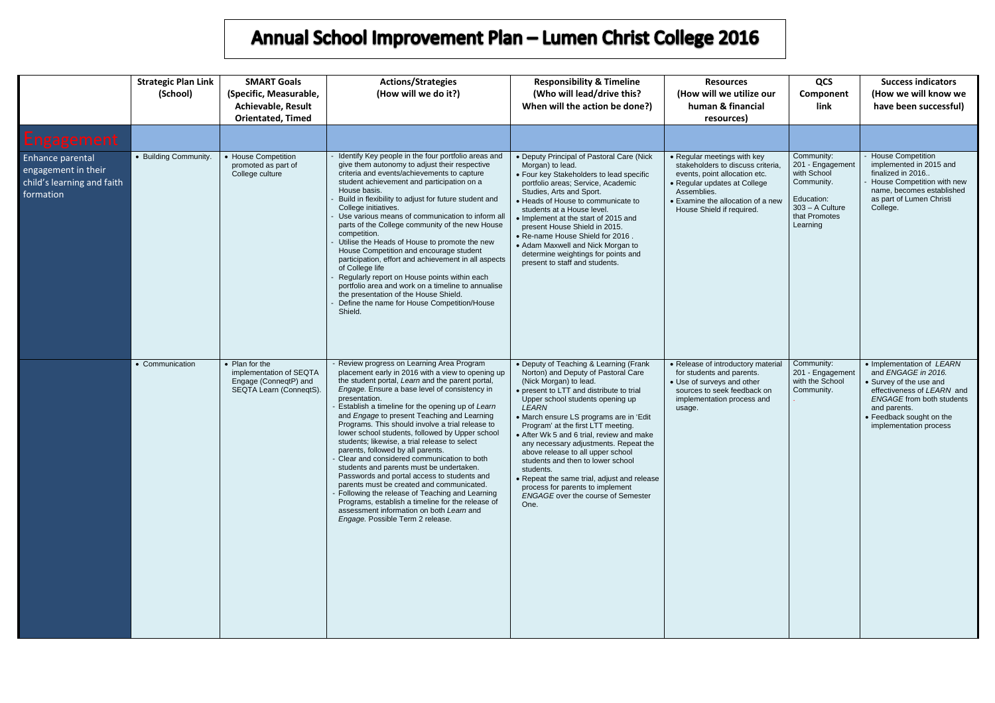|                                                                                           | <b>Strategic Plan Link</b><br>(School) | <b>SMART Goals</b><br>(Specific, Measurable,<br><b>Achievable, Result</b><br><b>Orientated, Timed</b> | <b>Actions/Strategies</b><br>(How will we do it?)                                                                                                                                                                                                                                                                                                                                                                                                                                                                                                                                                                                                                                                                                                                                                                                                                                                  | <b>Responsibility &amp; Timeline</b><br>(Who will lead/drive this?<br>When will the action be done?)                                                                                                                                                                                                                                                                                                                                                                                                                                                                                                   | <b>Resources</b><br>(How will we utilize our<br>human & financial<br>resources)                                                                                                                                    | QCS<br>Component<br>link                                                                                                    | <b>Success indicators</b><br>(How we will know we<br>have been successful)                                                                                                                                          |
|-------------------------------------------------------------------------------------------|----------------------------------------|-------------------------------------------------------------------------------------------------------|----------------------------------------------------------------------------------------------------------------------------------------------------------------------------------------------------------------------------------------------------------------------------------------------------------------------------------------------------------------------------------------------------------------------------------------------------------------------------------------------------------------------------------------------------------------------------------------------------------------------------------------------------------------------------------------------------------------------------------------------------------------------------------------------------------------------------------------------------------------------------------------------------|--------------------------------------------------------------------------------------------------------------------------------------------------------------------------------------------------------------------------------------------------------------------------------------------------------------------------------------------------------------------------------------------------------------------------------------------------------------------------------------------------------------------------------------------------------------------------------------------------------|--------------------------------------------------------------------------------------------------------------------------------------------------------------------------------------------------------------------|-----------------------------------------------------------------------------------------------------------------------------|---------------------------------------------------------------------------------------------------------------------------------------------------------------------------------------------------------------------|
| Engagement                                                                                |                                        |                                                                                                       |                                                                                                                                                                                                                                                                                                                                                                                                                                                                                                                                                                                                                                                                                                                                                                                                                                                                                                    |                                                                                                                                                                                                                                                                                                                                                                                                                                                                                                                                                                                                        |                                                                                                                                                                                                                    |                                                                                                                             |                                                                                                                                                                                                                     |
| <b>Enhance parental</b><br>engagement in their<br>child's learning and faith<br>formation | • Building Community.                  | • House Competition<br>promoted as part of<br>College culture                                         | Identify Key people in the four portfolio areas and<br>give them autonomy to adjust their respective<br>criteria and events/achievements to capture<br>student achievement and participation on a<br>House basis.<br>Build in flexibility to adjust for future student and<br>College initiatives.<br>Use various means of communication to inform all<br>parts of the College community of the new House<br>competition.<br>Utilise the Heads of House to promote the new<br>House Competition and encourage student<br>participation, effort and achievement in all aspects<br>of College life<br>Regularly report on House points within each<br>portfolio area and work on a timeline to annualise<br>the presentation of the House Shield.<br>Define the name for House Competition/House<br>Shield.                                                                                          | • Deputy Principal of Pastoral Care (Nick<br>Morgan) to lead.<br>• Four key Stakeholders to lead specific<br>portfolio areas; Service, Academic<br>Studies, Arts and Sport.<br>• Heads of House to communicate to<br>students at a House level.<br>• Implement at the start of 2015 and<br>present House Shield in 2015.<br>. Re-name House Shield for 2016.<br>• Adam Maxwell and Nick Morgan to<br>determine weightings for points and<br>present to staff and students.                                                                                                                             | • Regular meetings with key<br>stakeholders to discuss criteria.<br>events, point allocation etc.<br>• Regular updates at College<br>Assemblies.<br>• Examine the allocation of a new<br>House Shield if required. | Community:<br>201 - Engagement<br>with School<br>Community.<br>Education:<br>$303 - A$ Culture<br>that Promotes<br>Learning | <b>House Competition</b><br>implemented in 2015 and<br>finalized in 2016<br>House Competition with new<br>name, becomes established<br>as part of Lumen Christi<br>College.                                         |
|                                                                                           | • Communication                        | • Plan for the<br>implementation of SEQTA<br>Engage (ConneqtP) and<br>SEQTA Learn (ConneqtS).         | - Review progress on Learning Area Program<br>placement early in 2016 with a view to opening up<br>the student portal, Learn and the parent portal,<br>Engage. Ensure a base level of consistency in<br>presentation.<br>Establish a timeline for the opening up of Learn<br>and Engage to present Teaching and Learning<br>Programs. This should involve a trial release to<br>lower school students, followed by Upper school<br>students; likewise, a trial release to select<br>parents, followed by all parents.<br>Clear and considered communication to both<br>students and parents must be undertaken.<br>Passwords and portal access to students and<br>parents must be created and communicated.<br>Following the release of Teaching and Learning<br>Programs, establish a timeline for the release of<br>assessment information on both Learn and<br>Engage. Possible Term 2 release. | • Deputy of Teaching & Learning (Frank<br>Norton) and Deputy of Pastoral Care<br>(Nick Morgan) to lead.<br>• present to LTT and distribute to trial<br>Upper school students opening up<br>LEARN<br>• March ensure LS programs are in 'Edit<br>Program' at the first LTT meeting.<br>• After Wk 5 and 6 trial, review and make<br>any necessary adjustments. Repeat the<br>above release to all upper school<br>students and then to lower school<br>students.<br>• Repeat the same trial, adjust and release<br>process for parents to implement<br><b>ENGAGE</b> over the course of Semester<br>One. | • Release of introductory material<br>for students and parents.<br>• Use of surveys and other<br>sources to seek feedback on<br>implementation process and<br>usage.                                               | Community:<br>201 - Engagement<br>with the School<br>Community.                                                             | • Implementation of LEARN<br>and ENGAGE in 2016.<br>• Survey of the use and<br>effectiveness of LEARN and<br><b>ENGAGE</b> from both students<br>and parents.<br>• Feedback sought on the<br>implementation process |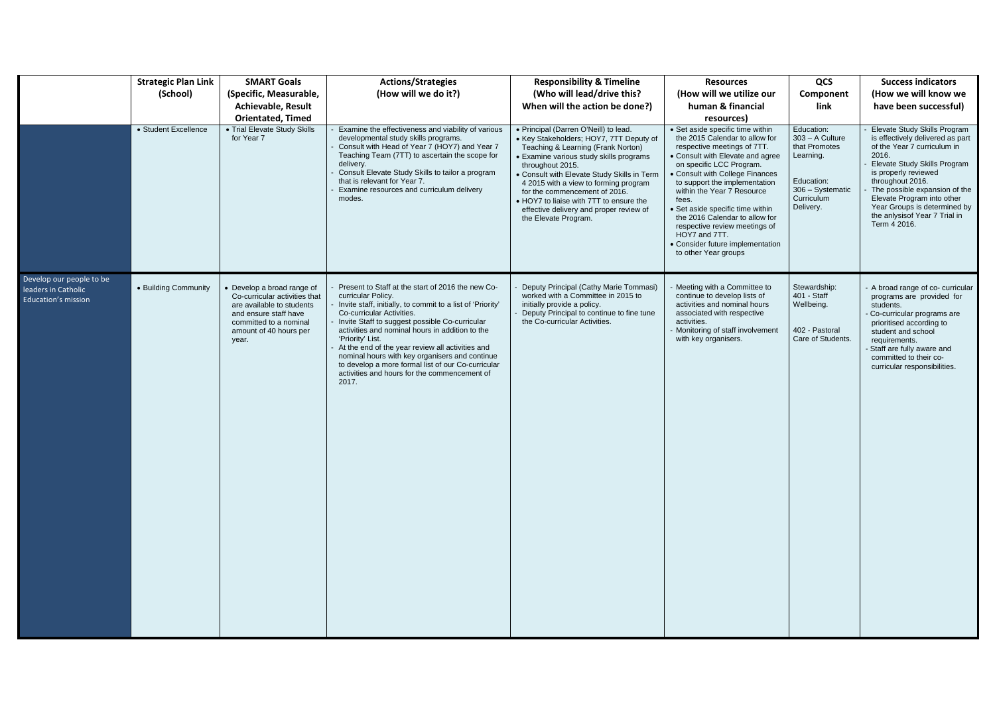|                                                                               | <b>Strategic Plan Link</b> | <b>SMART Goals</b>                                                                                                                                                           | <b>Actions/Strategies</b>                                                                                                                                                                                                                                                                                                                                                                                                                                                                                        | <b>Responsibility &amp; Timeline</b>                                                                                                                                                                                                                                                                                                                                                                                         | <b>Resources</b>                                                                                                                                                                                                                                                                                                                                                                                                                                                 | QCS                                                                                                                        | <b>Success indicators</b>                                                                                                                                                                                                                                                                                                            |
|-------------------------------------------------------------------------------|----------------------------|------------------------------------------------------------------------------------------------------------------------------------------------------------------------------|------------------------------------------------------------------------------------------------------------------------------------------------------------------------------------------------------------------------------------------------------------------------------------------------------------------------------------------------------------------------------------------------------------------------------------------------------------------------------------------------------------------|------------------------------------------------------------------------------------------------------------------------------------------------------------------------------------------------------------------------------------------------------------------------------------------------------------------------------------------------------------------------------------------------------------------------------|------------------------------------------------------------------------------------------------------------------------------------------------------------------------------------------------------------------------------------------------------------------------------------------------------------------------------------------------------------------------------------------------------------------------------------------------------------------|----------------------------------------------------------------------------------------------------------------------------|--------------------------------------------------------------------------------------------------------------------------------------------------------------------------------------------------------------------------------------------------------------------------------------------------------------------------------------|
|                                                                               | (School)                   | (Specific, Measurable,                                                                                                                                                       | (How will we do it?)                                                                                                                                                                                                                                                                                                                                                                                                                                                                                             | (Who will lead/drive this?                                                                                                                                                                                                                                                                                                                                                                                                   | (How will we utilize our                                                                                                                                                                                                                                                                                                                                                                                                                                         | Component                                                                                                                  | (How we will know we                                                                                                                                                                                                                                                                                                                 |
|                                                                               |                            | <b>Achievable, Result</b>                                                                                                                                                    |                                                                                                                                                                                                                                                                                                                                                                                                                                                                                                                  | When will the action be done?)                                                                                                                                                                                                                                                                                                                                                                                               | human & financial                                                                                                                                                                                                                                                                                                                                                                                                                                                | link                                                                                                                       | have been successful)                                                                                                                                                                                                                                                                                                                |
|                                                                               |                            | <b>Orientated, Timed</b>                                                                                                                                                     |                                                                                                                                                                                                                                                                                                                                                                                                                                                                                                                  |                                                                                                                                                                                                                                                                                                                                                                                                                              | resources)                                                                                                                                                                                                                                                                                                                                                                                                                                                       |                                                                                                                            |                                                                                                                                                                                                                                                                                                                                      |
|                                                                               | • Student Excellence       | • Trial Elevate Study Skills<br>for Year 7                                                                                                                                   | Examine the effectiveness and viability of various<br>developmental study skills programs.<br>Consult with Head of Year 7 (HOY7) and Year 7<br>Teaching Team (7TT) to ascertain the scope for<br>delivery.<br>Consult Elevate Study Skills to tailor a program<br>that is relevant for Year 7.<br>Examine resources and curriculum delivery<br>modes.                                                                                                                                                            | • Principal (Darren O'Neill) to lead.<br>• Key Stakeholders; HOY7, 7TT Deputy of<br>Teaching & Learning (Frank Norton)<br>• Examine various study skills programs<br>throughout 2015.<br>• Consult with Elevate Study Skills in Term<br>4 2015 with a view to forming program<br>for the commencement of 2016.<br>. HOY7 to liaise with 7TT to ensure the<br>effective delivery and proper review of<br>the Elevate Program. | • Set aside specific time within<br>the 2015 Calendar to allow for<br>respective meetings of 7TT.<br>• Consult with Elevate and agree<br>on specific LCC Program.<br>• Consult with College Finances<br>to support the implementation<br>within the Year 7 Resource<br>fees.<br>• Set aside specific time within<br>the 2016 Calendar to allow for<br>respective review meetings of<br>HOY7 and 7TT.<br>• Consider future implementation<br>to other Year groups | Education:<br>$303 - A$ Culture<br>that Promotes<br>Learning.<br>Education:<br>306 - Systematic<br>Curriculum<br>Delivery. | Elevate Study Skills Program<br>is effectively delivered as part<br>of the Year 7 curriculum in<br>2016.<br>Elevate Study Skills Program<br>is properly reviewed<br>throughout 2016.<br>The possible expansion of the<br>Elevate Program into other<br>Year Groups is determined by<br>the anlysisof Year 7 Trial in<br>Term 4 2016. |
| Develop our people to be<br>leaders in Catholic<br><b>Education's mission</b> | • Building Community       | Develop a broad range of<br>Co-curricular activities that<br>are available to students<br>and ensure staff have<br>committed to a nominal<br>amount of 40 hours per<br>year. | Present to Staff at the start of 2016 the new Co-<br>curricular Policy.<br>Invite staff, initially, to commit to a list of 'Priority'<br>Co-curricular Activities.<br>Invite Staff to suggest possible Co-curricular<br>activities and nominal hours in addition to the<br>'Priority' List.<br>At the end of the year review all activities and<br>nominal hours with key organisers and continue<br>to develop a more formal list of our Co-curricular<br>activities and hours for the commencement of<br>2017. | Deputy Principal (Cathy Marie Tommasi)<br>worked with a Committee in 2015 to<br>initially provide a policy.<br>Deputy Principal to continue to fine tune<br>the Co-curricular Activities.                                                                                                                                                                                                                                    | - Meeting with a Committee to<br>continue to develop lists of<br>activities and nominal hours<br>associated with respective<br>activities.<br>- Monitoring of staff involvement<br>with key organisers.                                                                                                                                                                                                                                                          | Stewardship:<br>401 - Staff<br>Wellbeing.<br>402 - Pastoral<br>Care of Students.                                           | - A broad range of co- curricular<br>programs are provided for<br>students.<br>Co-curricular programs are<br>prioritised according to<br>student and school<br>requirements.<br>Staff are fully aware and<br>committed to their co-<br>curricular responsibilities.                                                                  |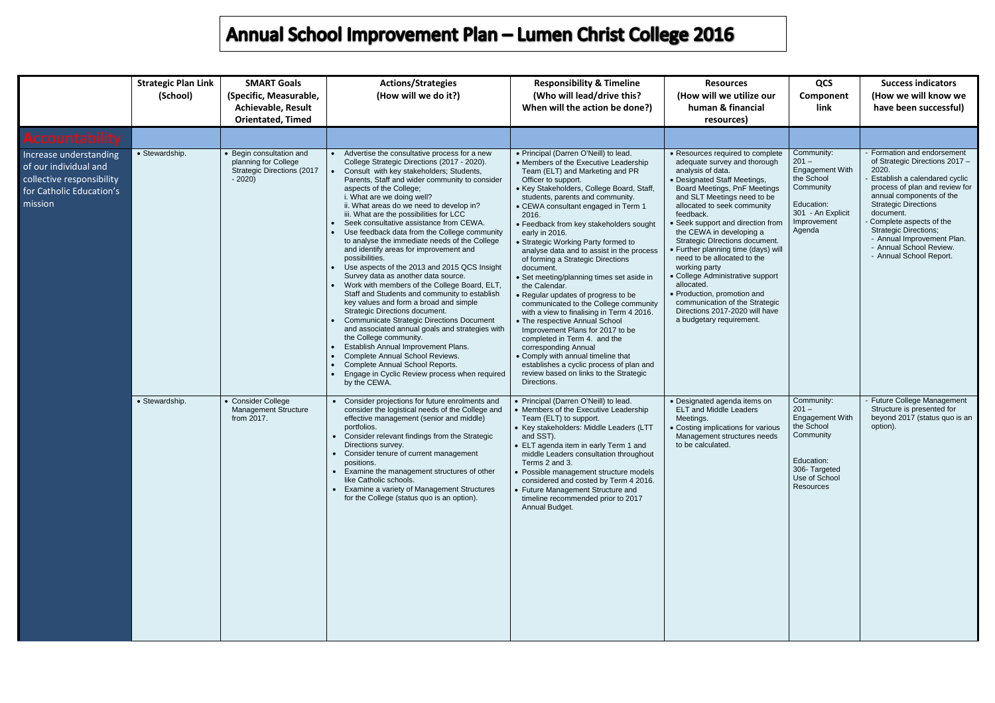|                                                                                                                     | <b>Strategic Plan Link</b><br>(School) | <b>SMART Goals</b><br>(Specific, Measurable,<br><b>Achievable, Result</b><br><b>Orientated, Timed</b> | <b>Actions/Strategies</b><br>(How will we do it?)                                                                                                                                                                                                                                                                                                                                                                                                                                                                                                                                                                                                                                                                                                                                                                                                                                                                                                                                                                                                                                                                                                 | <b>Responsibility &amp; Timeline</b><br>(Who will lead/drive this?<br>When will the action be done?)                                                                                                                                                                                                                                                                                                                                                                                                                                                                                                                                                                                                                                                                                                                                                                                                                                             | <b>Resources</b><br>(How will we utilize our<br>human & financial<br>resources)                                                                                                                                                                                                                                                                                                                                                                                                                                                                                                                             | QCS<br>Component<br>link                                                                                                                | <b>Success indicators</b><br>(How we will know we<br>have been successful)                                                                                                                                                                                                                                                                                     |
|---------------------------------------------------------------------------------------------------------------------|----------------------------------------|-------------------------------------------------------------------------------------------------------|---------------------------------------------------------------------------------------------------------------------------------------------------------------------------------------------------------------------------------------------------------------------------------------------------------------------------------------------------------------------------------------------------------------------------------------------------------------------------------------------------------------------------------------------------------------------------------------------------------------------------------------------------------------------------------------------------------------------------------------------------------------------------------------------------------------------------------------------------------------------------------------------------------------------------------------------------------------------------------------------------------------------------------------------------------------------------------------------------------------------------------------------------|--------------------------------------------------------------------------------------------------------------------------------------------------------------------------------------------------------------------------------------------------------------------------------------------------------------------------------------------------------------------------------------------------------------------------------------------------------------------------------------------------------------------------------------------------------------------------------------------------------------------------------------------------------------------------------------------------------------------------------------------------------------------------------------------------------------------------------------------------------------------------------------------------------------------------------------------------|-------------------------------------------------------------------------------------------------------------------------------------------------------------------------------------------------------------------------------------------------------------------------------------------------------------------------------------------------------------------------------------------------------------------------------------------------------------------------------------------------------------------------------------------------------------------------------------------------------------|-----------------------------------------------------------------------------------------------------------------------------------------|----------------------------------------------------------------------------------------------------------------------------------------------------------------------------------------------------------------------------------------------------------------------------------------------------------------------------------------------------------------|
| <b>Accountability</b>                                                                                               |                                        |                                                                                                       |                                                                                                                                                                                                                                                                                                                                                                                                                                                                                                                                                                                                                                                                                                                                                                                                                                                                                                                                                                                                                                                                                                                                                   |                                                                                                                                                                                                                                                                                                                                                                                                                                                                                                                                                                                                                                                                                                                                                                                                                                                                                                                                                  |                                                                                                                                                                                                                                                                                                                                                                                                                                                                                                                                                                                                             |                                                                                                                                         |                                                                                                                                                                                                                                                                                                                                                                |
| Increase understanding<br>of our individual and<br>collective responsibility<br>for Catholic Education's<br>mission | • Stewardship.                         | • Begin consultation and<br>planning for College<br>Strategic Directions (2017<br>$-2020$             | Advertise the consultative process for a new<br>College Strategic Directions (2017 - 2020).<br>Consult with key stakeholders; Students,<br>Parents, Staff and wider community to consider<br>aspects of the College;<br>i. What are we doing well?<br>ii. What areas do we need to develop in?<br>iii. What are the possibilities for LCC<br>Seek consultative assistance from CEWA.<br>Use feedback data from the College community<br>to analyse the immediate needs of the College<br>and identify areas for improvement and<br>possibilities.<br>Use aspects of the 2013 and 2015 QCS Insight<br>Survey data as another data source.<br>Work with members of the College Board, ELT,<br>Staff and Students and community to establish<br>key values and form a broad and simple<br>Strategic Directions document.<br><b>Communicate Strategic Directions Document</b><br>and associated annual goals and strategies with<br>the College community.<br>Establish Annual Improvement Plans.<br>Complete Annual School Reviews.<br>$\bullet$<br>Complete Annual School Reports.<br>Engage in Cyclic Review process when required<br>by the CEWA. | • Principal (Darren O'Neill) to lead.<br>• Members of the Executive Leadership<br>Team (ELT) and Marketing and PR<br>Officer to support.<br>• Key Stakeholders, College Board, Staff,<br>students, parents and community.<br>• CEWA consultant engaged in Term 1<br>2016.<br>• Feedback from key stakeholders sought<br>early in 2016.<br>• Strategic Working Party formed to<br>analyse data and to assist in the process<br>of forming a Strategic Directions<br>document.<br>• Set meeting/planning times set aside in<br>the Calendar.<br>• Regular updates of progress to be<br>communicated to the College community<br>with a view to finalising in Term 4 2016.<br>• The respective Annual School<br>Improvement Plans for 2017 to be<br>completed in Term 4. and the<br>corresponding Annual<br>• Comply with annual timeline that<br>establishes a cyclic process of plan and<br>review based on links to the Strategic<br>Directions. | • Resources required to complete<br>adequate survey and thorough<br>analysis of data.<br>• Designated Staff Meetings,<br>Board Meetings, PnF Meetings<br>and SLT Meetings need to be<br>allocated to seek community<br>feedback.<br>• Seek support and direction from<br>the CEWA in developing a<br>Strategic DIrections document.<br>• Further planning time (days) will<br>need to be allocated to the<br>working party<br>• College Administrative support<br>allocated.<br>• Production, promotion and<br>communication of the Strategic<br>Directions 2017-2020 will have<br>a budgetary requirement. | Community:<br>$201 -$<br><b>Engagement With</b><br>the School<br>Community<br>Education:<br>301 - An Explicit<br>Improvement<br>Agenda  | Formation and endorsement<br>of Strategic Directions 2017 -<br>2020.<br>Establish a calendared cyclic<br>process of plan and review for<br>annual components of the<br><b>Strategic Directions</b><br>document.<br>Complete aspects of the<br><b>Strategic Directions;</b><br>- Annual Improvement Plan.<br>- Annual School Review.<br>- Annual School Report. |
|                                                                                                                     | • Stewardship.                         | • Consider College<br><b>Management Structure</b><br>from 2017.                                       | Consider projections for future enrolments and<br>$\bullet$<br>consider the logistical needs of the College and<br>effective management (senior and middle)<br>portfolios.<br>• Consider relevant findings from the Strategic<br>Directions survey.<br>• Consider tenure of current management<br>positions.<br>Examine the management structures of other<br>like Catholic schools.<br>• Examine a variety of Management Structures<br>for the College (status quo is an option).                                                                                                                                                                                                                                                                                                                                                                                                                                                                                                                                                                                                                                                                | • Principal (Darren O'Neill) to lead.<br>• Members of the Executive Leadership<br>Team (ELT) to support.<br>• Key stakeholders: Middle Leaders (LTT<br>and SST).<br>• ELT agenda item in early Term 1 and<br>middle Leaders consultation throughout<br>Terms 2 and 3.<br>• Possible management structure models<br>considered and costed by Term 4 2016.<br>• Future Management Structure and<br>timeline recommended prior to 2017<br>Annual Budget.                                                                                                                                                                                                                                                                                                                                                                                                                                                                                            | • Designated agenda items on<br><b>ELT and Middle Leaders</b><br>Meetings.<br>• Costing implications for various<br>Management structures needs<br>to be calculated.                                                                                                                                                                                                                                                                                                                                                                                                                                        | Community:<br>$201 -$<br><b>Engagement With</b><br>the School<br>Community<br>Education:<br>306- Targeted<br>Use of School<br>Resources | <b>Future College Management</b><br>Structure is presented for<br>beyond 2017 (status quo is an<br>option).                                                                                                                                                                                                                                                    |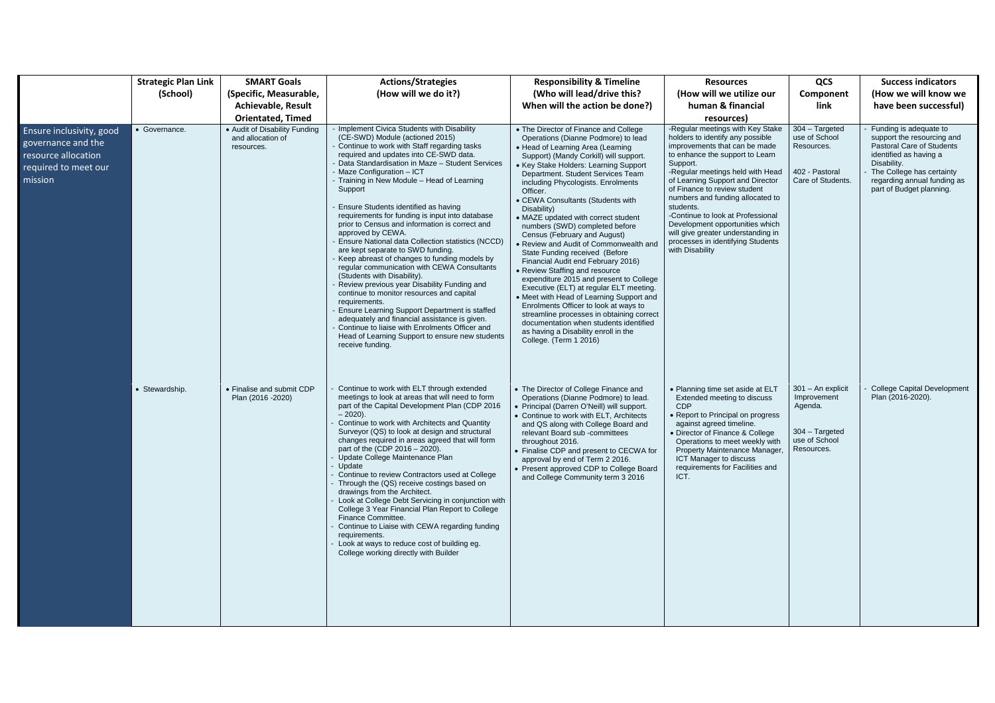|                                                                                                                        | <b>Strategic Plan Link</b><br>(School) | <b>SMART Goals</b><br>(Specific, Measurable,<br><b>Achievable, Result</b><br><b>Orientated, Timed</b> | <b>Actions/Strategies</b><br>(How will we do it?)                                                                                                                                                                                                                                                                                                                                                                                                                                                                                                                                                                                                                                                                                                                                                                                                                                                                                                                                                                                                  | <b>Responsibility &amp; Timeline</b><br>(Who will lead/drive this?<br>When will the action be done?)                                                                                                                                                                                                                                                                                                                                                                                                                                                                                                                                                                                                                                                                                                                                                                                                                                             | <b>Resources</b><br>(How will we utilize our<br>human & financial<br>resources)                                                                                                                                                                                                                                                                                                                                                                                                     | QCS<br>Component<br>link                                                                       | <b>Success indicators</b><br>(How we will know we<br>have been successful)                                                                                                                                         |
|------------------------------------------------------------------------------------------------------------------------|----------------------------------------|-------------------------------------------------------------------------------------------------------|----------------------------------------------------------------------------------------------------------------------------------------------------------------------------------------------------------------------------------------------------------------------------------------------------------------------------------------------------------------------------------------------------------------------------------------------------------------------------------------------------------------------------------------------------------------------------------------------------------------------------------------------------------------------------------------------------------------------------------------------------------------------------------------------------------------------------------------------------------------------------------------------------------------------------------------------------------------------------------------------------------------------------------------------------|--------------------------------------------------------------------------------------------------------------------------------------------------------------------------------------------------------------------------------------------------------------------------------------------------------------------------------------------------------------------------------------------------------------------------------------------------------------------------------------------------------------------------------------------------------------------------------------------------------------------------------------------------------------------------------------------------------------------------------------------------------------------------------------------------------------------------------------------------------------------------------------------------------------------------------------------------|-------------------------------------------------------------------------------------------------------------------------------------------------------------------------------------------------------------------------------------------------------------------------------------------------------------------------------------------------------------------------------------------------------------------------------------------------------------------------------------|------------------------------------------------------------------------------------------------|--------------------------------------------------------------------------------------------------------------------------------------------------------------------------------------------------------------------|
| <b>Ensure inclusivity, good</b><br>governance and the<br>resource allocation<br>required to meet our<br>$\mid$ mission | • Governance.                          | • Audit of Disability Funding<br>and allocation of<br>resources.                                      | Implement Civica Students with Disability<br>(CE-SWD) Module (actioned 2015)<br>Continue to work with Staff regarding tasks<br>required and updates into CE-SWD data.<br>Data Standardisation in Maze - Student Services<br>- Maze Configuration - ICT<br>- Training in New Module - Head of Learning<br>Support<br>Ensure Students identified as having<br>requirements for funding is input into database<br>prior to Census and information is correct and<br>approved by CEWA.<br>Ensure National data Collection statistics (NCCD)<br>are kept separate to SWD funding.<br>Keep abreast of changes to funding models by<br>regular communication with CEWA Consultants<br>(Students with Disability).<br>Review previous year Disability Funding and<br>continue to monitor resources and capital<br>requirements.<br>Ensure Learning Support Department is staffed<br>adequately and financial assistance is given.<br>Continue to liaise with Enrolments Officer and<br>Head of Learning Support to ensure new students<br>receive funding. | • The Director of Finance and College<br>Operations (Dianne Podmore) to lead<br>• Head of Learning Area (Learning<br>Support) (Mandy Corkill) will support.<br>• Key Stake Holders: Learning Support<br>Department. Student Services Team<br>including Phycologists. Enrolments<br>Officer.<br>• CEWA Consultants (Students with<br>Disability)<br>• MAZE updated with correct student<br>numbers (SWD) completed before<br>Census (February and August)<br>• Review and Audit of Commonwealth and<br>State Funding received (Before<br>Financial Audit end February 2016)<br>• Review Staffing and resource<br>expenditure 2015 and present to College<br>Executive (ELT) at regular ELT meeting.<br>• Meet with Head of Learning Support and<br>Enrolments Officer to look at ways to<br>streamline processes in obtaining correct<br>documentation when students identified<br>as having a Disability enroll in the<br>College. (Term 1 2016) | -Regular meetings with Key Stake<br>holders to identify any possible<br>improvements that can be made<br>to enhance the support to Learn<br>Support.<br>-Regular meetings held with Head<br>of Learning Support and Director<br>of Finance to review student<br>numbers and funding allocated to<br>students.<br>-Continue to look at Professional<br>Development opportunities which<br>will give greater understanding in<br>processes in identifying Students<br>with Disability | $304 - Targeted$<br>use of School<br>Resources.<br>402 - Pastoral<br>Care of Students.         | Funding is adequate to<br>support the resourcing and<br>Pastoral Care of Students<br>identified as having a<br>Disability.<br>The College has certainty<br>regarding annual funding as<br>part of Budget planning. |
|                                                                                                                        | • Stewardship.                         | • Finalise and submit CDP<br>Plan (2016 - 2020)                                                       | Continue to work with ELT through extended<br>meetings to look at areas that will need to form<br>part of the Capital Development Plan (CDP 2016<br>$-2020$ ).<br>Continue to work with Architects and Quantity<br>Surveyor (QS) to look at design and structural<br>changes required in areas agreed that will form<br>part of the (CDP $2016 - 2020$ ).<br>Update College Maintenance Plan<br>Update<br>Continue to review Contractors used at College<br>Through the (QS) receive costings based on<br>drawings from the Architect.<br>Look at College Debt Servicing in conjunction with<br>College 3 Year Financial Plan Report to College<br>Finance Committee.<br>Continue to Liaise with CEWA regarding funding<br>requirements.<br>Look at ways to reduce cost of building eg.<br>College working directly with Builder                                                                                                                                                                                                                   | • The Director of College Finance and<br>Operations (Dianne Podmore) to lead.<br>• Principal (Darren O'Neill) will support.<br>• Continue to work with ELT, Architects<br>and QS along with College Board and<br>relevant Board sub -committees<br>throughout 2016.<br>• Finalise CDP and present to CECWA for<br>approval by end of Term 2 2016.<br>• Present approved CDP to College Board<br>and College Community term 3 2016                                                                                                                                                                                                                                                                                                                                                                                                                                                                                                                | • Planning time set aside at ELT<br>Extended meeting to discuss<br><b>CDP</b><br>• Report to Principal on progress<br>against agreed timeline.<br>• Director of Finance & College<br>Operations to meet weekly with<br>Property Maintenance Manager,<br>ICT Manager to discuss<br>requirements for Facilities and<br>ICT.                                                                                                                                                           | 301 - An explicit<br>Improvement<br>Agenda.<br>$304 - Targeted$<br>use of School<br>Resources. | <b>College Capital Development</b><br>Plan (2016-2020).                                                                                                                                                            |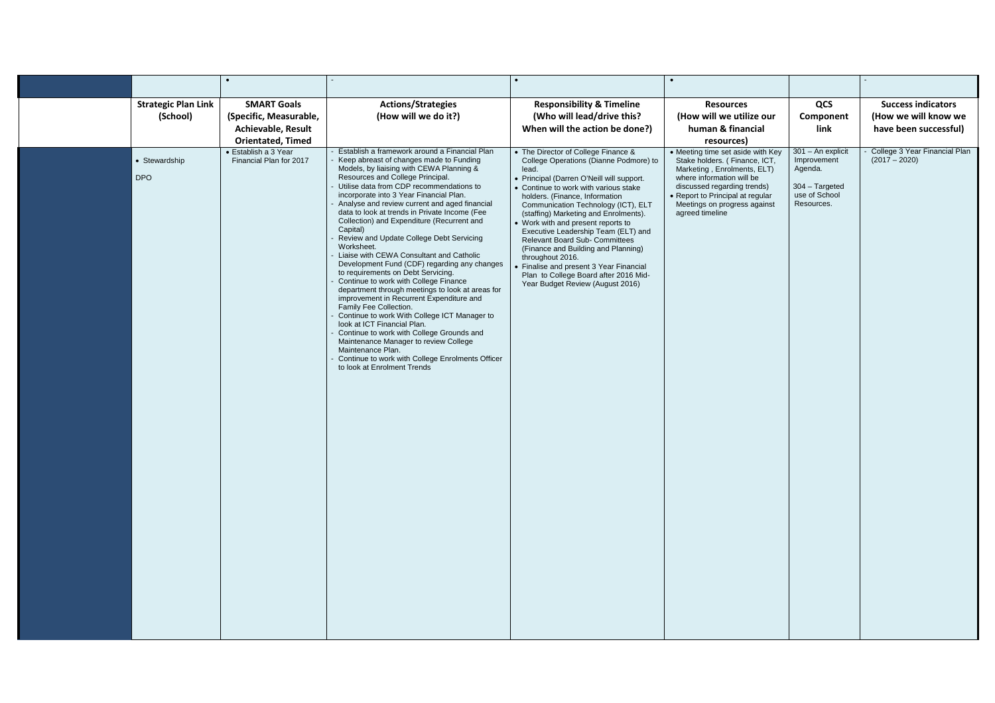|                                        | $\bullet$                                                                   |                                                                                                                                                                                                                                                                                                                                                                                                                                                                                                                                                                                                                                                                                                                                                                                                                                                                                                                                                                                                                                                                         |                                                                                                                                                                                                                                                                                                                                                                                                                                                                                                                                                                                                         |                                                                                                                                                                                                                                                                    |                                                                                              |                                                                            |
|----------------------------------------|-----------------------------------------------------------------------------|-------------------------------------------------------------------------------------------------------------------------------------------------------------------------------------------------------------------------------------------------------------------------------------------------------------------------------------------------------------------------------------------------------------------------------------------------------------------------------------------------------------------------------------------------------------------------------------------------------------------------------------------------------------------------------------------------------------------------------------------------------------------------------------------------------------------------------------------------------------------------------------------------------------------------------------------------------------------------------------------------------------------------------------------------------------------------|---------------------------------------------------------------------------------------------------------------------------------------------------------------------------------------------------------------------------------------------------------------------------------------------------------------------------------------------------------------------------------------------------------------------------------------------------------------------------------------------------------------------------------------------------------------------------------------------------------|--------------------------------------------------------------------------------------------------------------------------------------------------------------------------------------------------------------------------------------------------------------------|----------------------------------------------------------------------------------------------|----------------------------------------------------------------------------|
| <b>Strategic Plan Link</b><br>(School) | <b>SMART Goals</b><br>(Specific, Measurable,<br><b>Achievable, Result</b>   | <b>Actions/Strategies</b><br>(How will we do it?)                                                                                                                                                                                                                                                                                                                                                                                                                                                                                                                                                                                                                                                                                                                                                                                                                                                                                                                                                                                                                       | <b>Responsibility &amp; Timeline</b><br>(Who will lead/drive this?<br>When will the action be done?)                                                                                                                                                                                                                                                                                                                                                                                                                                                                                                    | <b>Resources</b><br>(How will we utilize our<br>human & financial                                                                                                                                                                                                  | QCS<br>Component<br>link                                                                     | <b>Success indicators</b><br>(How we will know we<br>have been successful) |
| • Stewardship<br><b>DPO</b>            | <b>Orientated, Timed</b><br>• Establish a 3 Year<br>Financial Plan for 2017 | Establish a framework around a Financial Plan<br>Keep abreast of changes made to Funding<br>Models, by liaising with CEWA Planning &<br>Resources and College Principal.<br>Utilise data from CDP recommendations to<br>incorporate into 3 Year Financial Plan.<br>Analyse and review current and aged financial<br>data to look at trends in Private Income (Fee<br>Collection) and Expenditure (Recurrent and<br>Capital)<br>Review and Update College Debt Servicing<br>Worksheet.<br>Liaise with CEWA Consultant and Catholic<br>Development Fund (CDF) regarding any changes<br>to requirements on Debt Servicing.<br>Continue to work with College Finance<br>department through meetings to look at areas for<br>improvement in Recurrent Expenditure and<br>Family Fee Collection.<br>Continue to work With College ICT Manager to<br>look at ICT Financial Plan.<br>Continue to work with College Grounds and<br>Maintenance Manager to review College<br>Maintenance Plan.<br>Continue to work with College Enrolments Officer<br>to look at Enrolment Trends | • The Director of College Finance &<br>College Operations (Dianne Podmore) to<br>lead.<br>• Principal (Darren O'Neill will support.<br>• Continue to work with various stake<br>holders. (Finance, Information<br>Communication Technology (ICT), ELT<br>(staffing) Marketing and Enrolments).<br>• Work with and present reports to<br>Executive Leadership Team (ELT) and<br><b>Relevant Board Sub- Committees</b><br>(Finance and Building and Planning)<br>throughout 2016.<br>• Finalise and present 3 Year Financial<br>Plan to College Board after 2016 Mid-<br>Year Budget Review (August 2016) | resources)<br>• Meeting time set aside with Key<br>Stake holders. (Finance, ICT,<br>Marketing, Enrolments, ELT)<br>where information will be<br>discussed regarding trends)<br>• Report to Principal at regular<br>Meetings on progress against<br>agreed timeline | 301 - An explicit<br>Improvement<br>Agenda.<br>304 - Targeted<br>use of School<br>Resources. | College 3 Year Financial Plan<br>$(2017 - 2020)$                           |
|                                        |                                                                             |                                                                                                                                                                                                                                                                                                                                                                                                                                                                                                                                                                                                                                                                                                                                                                                                                                                                                                                                                                                                                                                                         |                                                                                                                                                                                                                                                                                                                                                                                                                                                                                                                                                                                                         |                                                                                                                                                                                                                                                                    |                                                                                              |                                                                            |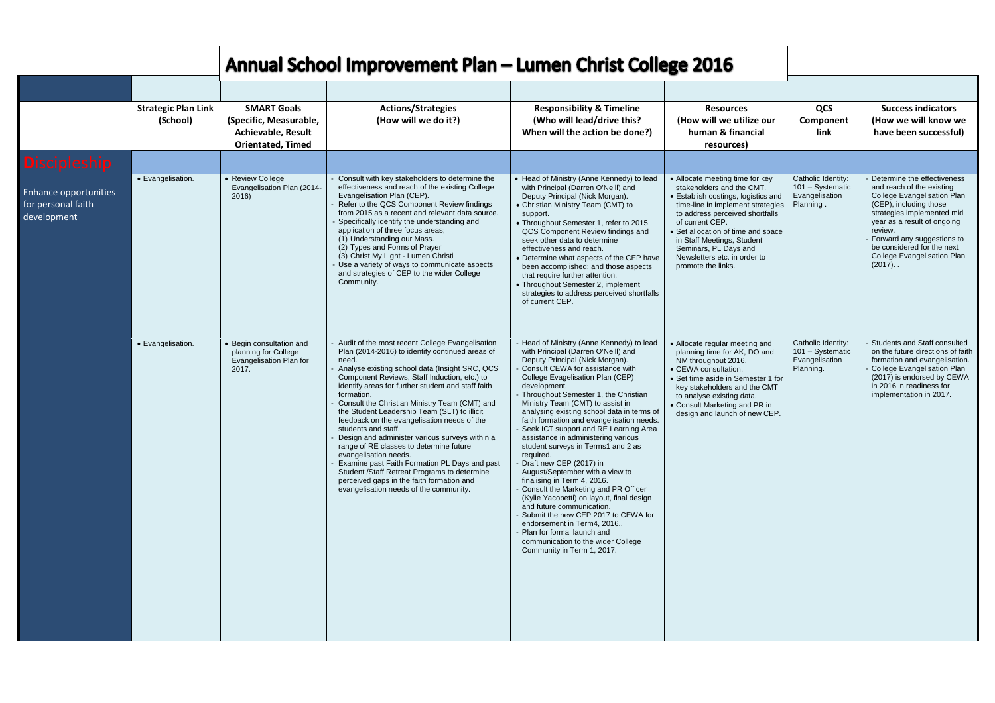|                                                                   | <b>Strategic Plan Link</b><br>(School) | <b>SMART Goals</b><br>(Specific, Measurable,<br><b>Achievable, Result</b><br><b>Orientated, Timed</b> | <b>Actions/Strategies</b><br>(How will we do it?)                                                                                                                                                                                                                                                                                                                                                                                                                                                                                                                                                                                                                                                                                                                        | <b>Responsibility &amp; Timeline</b><br>(Who will lead/drive this?<br>When will the action be done?)                                                                                                                                                                                                                                                                                                                                                                                                                                                                                                                                                                                                                                                                                                                                                                                                                    | <b>Resources</b><br>(How will we utilize our<br>human & financial<br>resources)                                                                                                                                                                                                                                                                   |
|-------------------------------------------------------------------|----------------------------------------|-------------------------------------------------------------------------------------------------------|--------------------------------------------------------------------------------------------------------------------------------------------------------------------------------------------------------------------------------------------------------------------------------------------------------------------------------------------------------------------------------------------------------------------------------------------------------------------------------------------------------------------------------------------------------------------------------------------------------------------------------------------------------------------------------------------------------------------------------------------------------------------------|-------------------------------------------------------------------------------------------------------------------------------------------------------------------------------------------------------------------------------------------------------------------------------------------------------------------------------------------------------------------------------------------------------------------------------------------------------------------------------------------------------------------------------------------------------------------------------------------------------------------------------------------------------------------------------------------------------------------------------------------------------------------------------------------------------------------------------------------------------------------------------------------------------------------------|---------------------------------------------------------------------------------------------------------------------------------------------------------------------------------------------------------------------------------------------------------------------------------------------------------------------------------------------------|
| <b>Discipleship</b>                                               |                                        |                                                                                                       |                                                                                                                                                                                                                                                                                                                                                                                                                                                                                                                                                                                                                                                                                                                                                                          |                                                                                                                                                                                                                                                                                                                                                                                                                                                                                                                                                                                                                                                                                                                                                                                                                                                                                                                         |                                                                                                                                                                                                                                                                                                                                                   |
| <b>Enhance opportunities</b><br>for personal faith<br>development | • Evangelisation.                      | • Review College<br>Evangelisation Plan (2014-<br>2016)                                               | Consult with key stakeholders to determine the<br>effectiveness and reach of the existing College<br>Evangelisation Plan (CEP).<br>Refer to the QCS Component Review findings<br>from 2015 as a recent and relevant data source.<br>Specifically identify the understanding and<br>application of three focus areas;<br>(1) Understanding our Mass.<br>(2) Types and Forms of Prayer<br>(3) Christ My Light - Lumen Christi<br>- Use a variety of ways to communicate aspects<br>and strategies of CEP to the wider College<br>Community.                                                                                                                                                                                                                                | • Head of Ministry (Anne Kennedy) to lead<br>with Principal (Darren O'Neill) and<br>Deputy Principal (Nick Morgan).<br>• Christian Ministry Team (CMT) to<br>support.<br>• Throughout Semester 1, refer to 2015<br>QCS Component Review findings and<br>seek other data to determine<br>effectiveness and reach.<br>• Determine what aspects of the CEP have<br>been accomplished; and those aspects<br>that require further attention.<br>• Throughout Semester 2, implement<br>strategies to address perceived shortfalls<br>of current CEP.                                                                                                                                                                                                                                                                                                                                                                          | • Allocate meeting time for key<br>stakeholders and the CMT.<br>• Establish costings, logistics and<br>time-line in implement strategies<br>to address perceived shortfalls<br>of current CEP.<br>• Set allocation of time and space<br>in Staff Meetings, Student<br>Seminars, PL Days and<br>Newsletters etc. in order to<br>promote the links. |
|                                                                   | • Evangelisation.                      | • Begin consultation and<br>planning for College<br>Evangelisation Plan for<br>2017.                  | - Audit of the most recent College Evangelisation<br>Plan (2014-2016) to identify continued areas of<br>need.<br>Analyse existing school data (Insight SRC, QCS<br>Component Reviews, Staff Induction, etc.) to<br>identify areas for further student and staff faith<br>formation.<br>Consult the Christian Ministry Team (CMT) and<br>the Student Leadership Team (SLT) to illicit<br>feedback on the evangelisation needs of the<br>students and staff.<br>Design and administer various surveys within a<br>range of RE classes to determine future<br>evangelisation needs.<br>Examine past Faith Formation PL Days and past<br>Student /Staff Retreat Programs to determine<br>perceived gaps in the faith formation and<br>evangelisation needs of the community. | - Head of Ministry (Anne Kennedy) to lead<br>with Principal (Darren O'Neill) and<br>Deputy Principal (Nick Morgan).<br>Consult CEWA for assistance with<br>College Evagelisation Plan (CEP)<br>development.<br>- Throughout Semester 1, the Christian<br>Ministry Team (CMT) to assist in<br>analysing existing school data in terms of<br>faith formation and evangelisation needs.<br>- Seek ICT support and RE Learning Area<br>assistance in administering various<br>student surveys in Terms1 and 2 as<br>required.<br>- Draft new CEP (2017) in<br>August/September with a view to<br>finalising in Term 4, 2016.<br>- Consult the Marketing and PR Officer<br>(Kylie Yacopetti) on layout, final design<br>and future communication.<br>- Submit the new CEP 2017 to CEWA for<br>endorsement in Term4, 2016<br>- Plan for formal launch and<br>communication to the wider College<br>Community in Term 1, 2017. | • Allocate regular meeting and<br>planning time for AK, DO and<br>NM throughout 2016.<br>• CEWA consultation.<br>• Set time aside in Semester 1 for<br>key stakeholders and the CMT<br>to analyse existing data.<br>• Consult Marketing and PR in<br>design and launch of new CEP.                                                                |

| ze our<br>cial                                                                         | QCS<br>Component<br>link                                              | <b>Success indicators</b><br>(How we will know we<br>have been successful)                                                                                                                                                                                                                             |
|----------------------------------------------------------------------------------------|-----------------------------------------------------------------------|--------------------------------------------------------------------------------------------------------------------------------------------------------------------------------------------------------------------------------------------------------------------------------------------------------|
|                                                                                        |                                                                       |                                                                                                                                                                                                                                                                                                        |
| or key<br>MТ.<br>stics and<br>strategies<br>hortfalls<br>nd space<br>ent<br>d<br>er to | Catholic Identity:<br>101 - Systematic<br>Evangelisation<br>Planning. | - Determine the effectiveness<br>and reach of the existing<br>College Evangelisation Plan<br>(CEP), including those<br>strategies implemented mid<br>year as a result of ongoing<br>review.<br>- Forward any suggestions to<br>be considered for the next<br>College Evangelisation Plan<br>$(2017)$ . |
| g and<br>O and<br>ster 1 for<br>he CMT<br>э.<br>PR in<br>ew CEP.                       | Catholic Identity:<br>101 - Systematic<br>Evangelisation<br>Planning. | - Students and Staff consulted<br>on the future directions of faith<br>formation and evangelisation.<br>- College Evangelisation Plan<br>(2017) is endorsed by CEWA<br>in 2016 in readiness for<br>implementation in 2017.                                                                             |